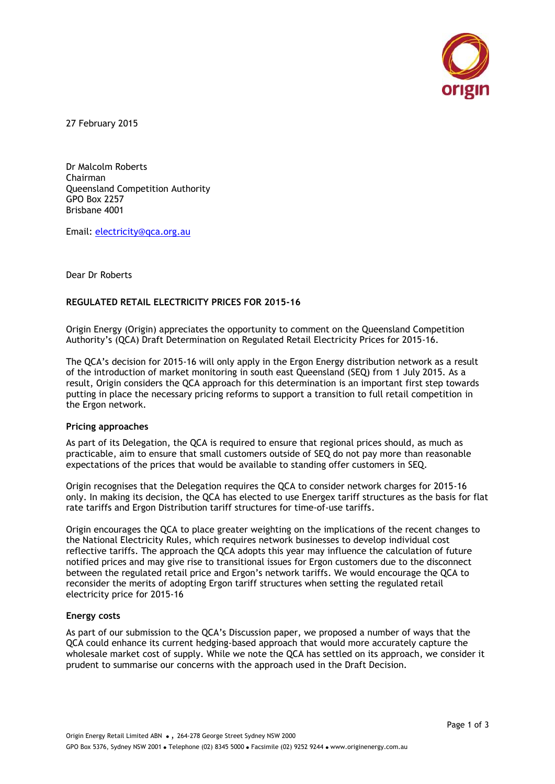

27 February 2015

Dr Malcolm Roberts Chairman Queensland Competition Authority GPO Box 2257 Brisbane 4001

Email: [electricity@qca.org.au](mailto:electricity@qca.org.au)

Dear Dr Roberts

## **REGULATED RETAIL ELECTRICITY PRICES FOR 2015-16**

Origin Energy (Origin) appreciates the opportunity to comment on the Queensland Competition Authority's (QCA) Draft Determination on Regulated Retail Electricity Prices for 2015-16.

The QCA's decision for 2015-16 will only apply in the Ergon Energy distribution network as a result of the introduction of market monitoring in south east Queensland (SEQ) from 1 July 2015. As a result, Origin considers the QCA approach for this determination is an important first step towards putting in place the necessary pricing reforms to support a transition to full retail competition in the Ergon network.

#### **Pricing approaches**

As part of its Delegation, the QCA is required to ensure that regional prices should, as much as practicable, aim to ensure that small customers outside of SEQ do not pay more than reasonable expectations of the prices that would be available to standing offer customers in SEQ.

Origin recognises that the Delegation requires the QCA to consider network charges for 2015-16 only. In making its decision, the QCA has elected to use Energex tariff structures as the basis for flat rate tariffs and Ergon Distribution tariff structures for time‐of‐use tariffs.

Origin encourages the QCA to place greater weighting on the implications of the recent changes to the National Electricity Rules, which requires network businesses to develop individual cost reflective tariffs. The approach the QCA adopts this year may influence the calculation of future notified prices and may give rise to transitional issues for Ergon customers due to the disconnect between the regulated retail price and Ergon's network tariffs. We would encourage the QCA to reconsider the merits of adopting Ergon tariff structures when setting the regulated retail electricity price for 2015-16

#### **Energy costs**

As part of our submission to the QCA's Discussion paper, we proposed a number of ways that the QCA could enhance its current hedging-based approach that would more accurately capture the wholesale market cost of supply. While we note the QCA has settled on its approach, we consider it prudent to summarise our concerns with the approach used in the Draft Decision.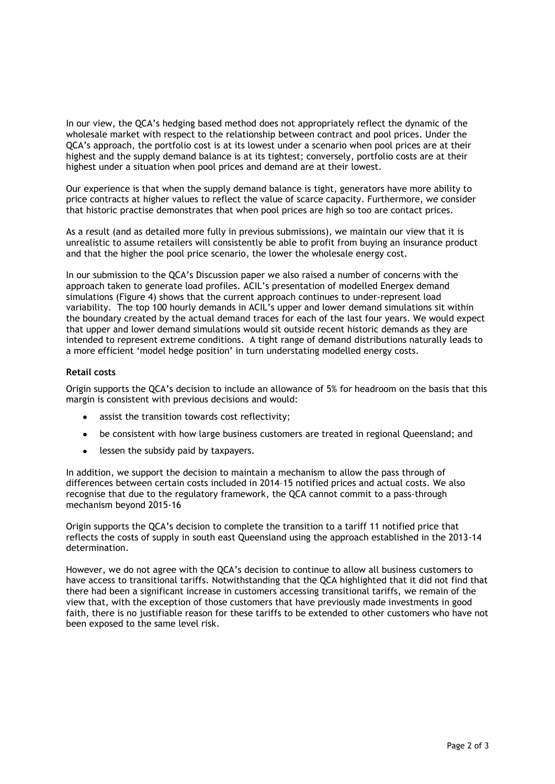In our view, the QCA's hedging based method does not appropriately reflect the dynamic of the wholesale market with respect to the relationship between contract and pool prices. Under the QCA's approach, the portfolio cost is at its lowest under a scenario when pool prices are at their highest and the supply demand balance is at its tightest; conversely, portfolio costs are at their highest under a situation when pool prices and demand are at their lowest.

Our experience is that when the supply demand balance is tight, generators have more ability to price contracts at higher values to reflect the value of scarce capacity. Furthermore, we consider that historic practise demonstrates that when pool prices are high so too are contact prices.

As a result (and as detailed more fully in previous submissions), we maintain our view that it is unrealistic to assume retailers will consistently be able to profit from buying an insurance product and that the higher the pool price scenario, the lower the wholesale energy cost.

In our submission to the QCA's Discussion paper we also raised a number of concerns with the approach taken to generate load profiles. ACIL's presentation of modelled Energex demand simulations (Figure 4) shows that the current approach continues to under-represent load variability. The top 100 hourly demands in ACIL's upper and lower demand simulations sit within the boundary created by the actual demand traces for each of the last four years. We would expect that upper and lower demand simulations would sit outside recent historic demands as they are intended to represent extreme conditions. A tight range of demand distributions naturally leads to a more efficient 'model hedge position' in turn understating modelled energy costs.

## **Retail costs**

Origin supports the QCA's decision to include an allowance of 5% for headroom on the basis that this margin is consistent with previous decisions and would:

- assist the transition towards cost reflectivity;
- be consistent with how large business customers are treated in regional Queensland; and
- lessen the subsidy paid by taxpayers.

In addition, we support the decision to maintain a mechanism to allow the pass through of differences between certain costs included in 2014–15 notified prices and actual costs. We also recognise that due to the regulatory framework, the QCA cannot commit to a pass-through mechanism beyond 2015-16

Origin supports the QCA's decision to complete the transition to a tariff 11 notified price that reflects the costs of supply in south east Queensland using the approach established in the 2013-14 determination.

However, we do not agree with the QCA's decision to continue to allow all business customers to have access to transitional tariffs. Notwithstanding that the QCA highlighted that it did not find that there had been a significant increase in customers accessing transitional tariffs, we remain of the view that, with the exception of those customers that have previously made investments in good faith, there is no justifiable reason for these tariffs to be extended to other customers who have not been exposed to the same level risk.